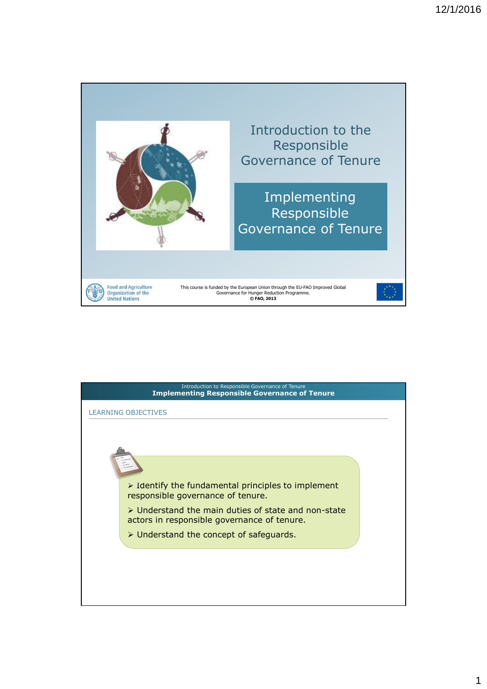

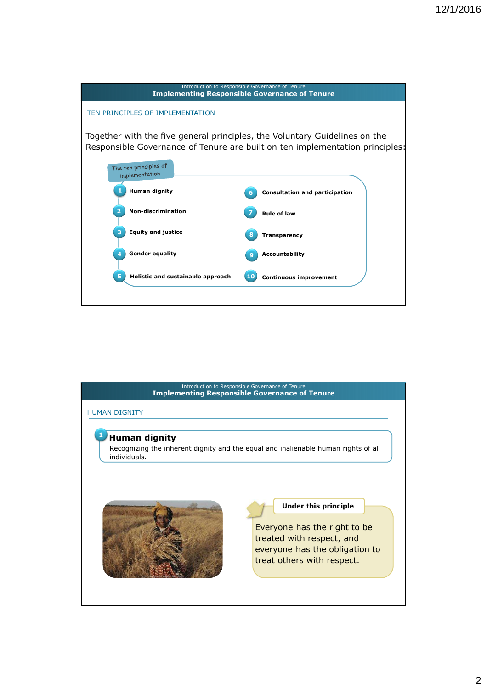

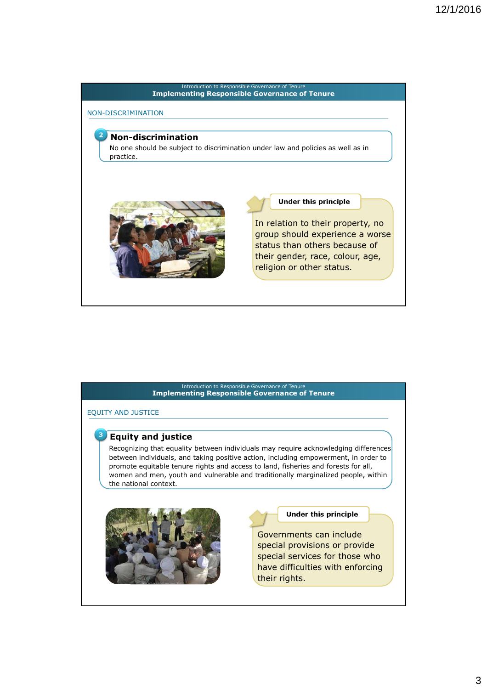#### **3. Principles of responsible governance of tenure** Introduction to Responsible Governance of Tenure **Implementing Responsible Governance of Tenure**

# NON-DISCRIMINATION

# **Non-discrimination**

No one should be subject to discrimination under law and policies as well as in practice.



### **Under this principle**

In relation to their property, no group should experience a worse status than others because of their gender, race, colour, age, religion or other status.

#### **3. Principles of responsible governance of tenure Implementing Responsible Governance of Tenure** Introduction to Responsible Governance of Tenure

EQUITY AND JUSTICE

#### 3 **Equity and justice**

Recognizing that equality between individuals may require acknowledging differences between individuals, and taking positive action, including empowerment, in order to promote equitable tenure rights and access to land, fisheries and forests for all, women and men, youth and vulnerable and traditionally marginalized people, within the national context.



#### **Under this principle**

Governments can include special provisions or provide special services for those who have difficulties with enforcing their rights.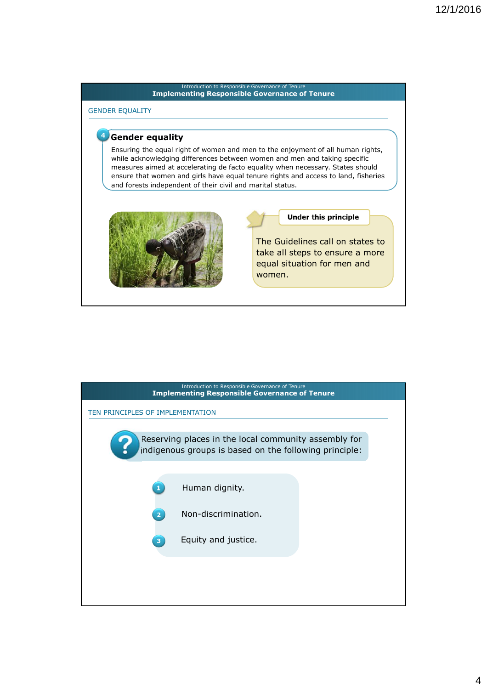# Introduction to Responsible Governance of Tenure **Implementing Responsible Governance of Tenure 3. Principles of responsible governance of tenure** GENDER EQUALITY **4** Gender equality Ensuring the equal right of women and men to the enjoyment of all human rights, while acknowledging differences between women and men and taking specific measures aimed at accelerating de facto equality when necessary. States should ensure that women and girls have equal tenure rights and access to land, fisheries and forests independent of their civil and marital status. **Under this principle** The Guidelines call on states to take all steps to ensure a more equal situation for men and women.

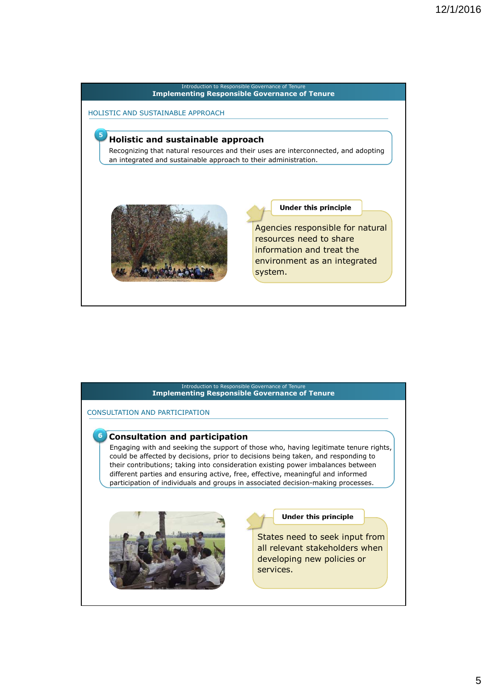



# 5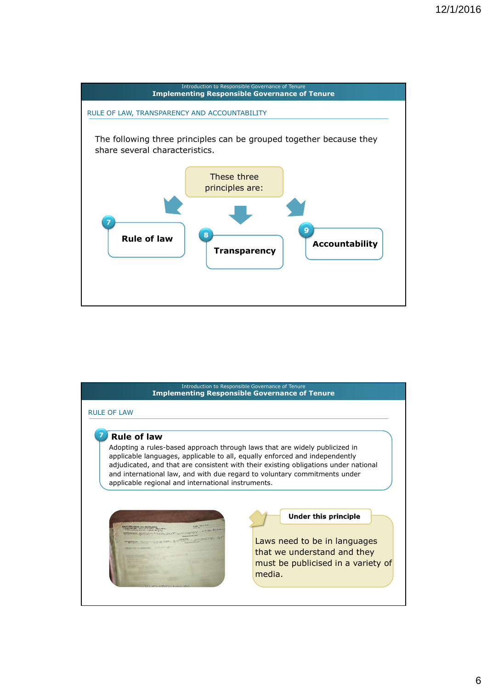

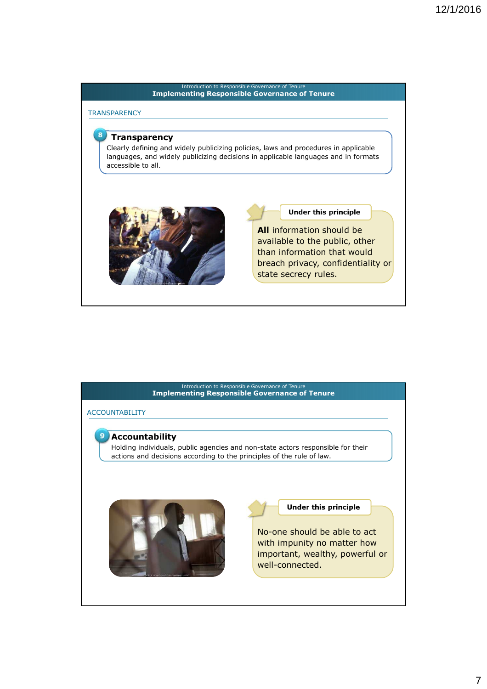#### **3. Principles of responsible governance of tenure** Introduction to Responsible Governance of Tenure **Implementing Responsible Governance of Tenure**

**TRANSPARENCY** 

 $\mathbf{R}$ 

## **Transparency**

Clearly defining and widely publicizing policies, laws and procedures in applicable languages, and widely publicizing decisions in applicable languages and in formats accessible to all.



## **Under this principle**

**All** information should be available to the public, other than information that would breach privacy, confidentiality or state secrecy rules.

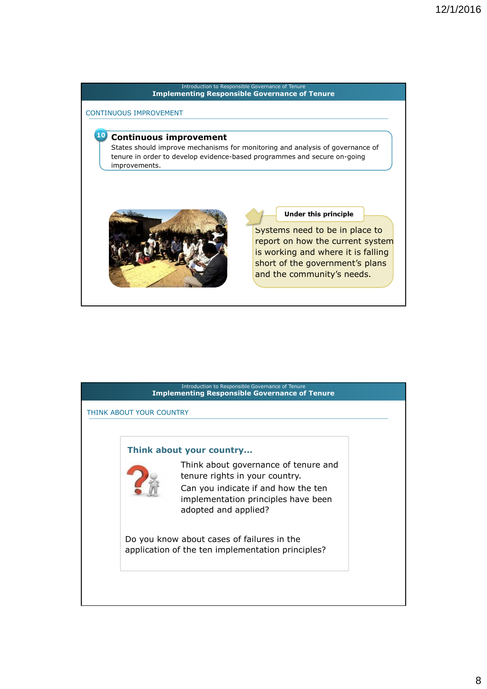#### **3. Principles of responsible governance of tenure Implementing Responsible Governance of Tenure** Introduction to Responsible Governance of Tenure

#### CONTINUOUS IMPROVEMENT

# **10 Continuous improvement**

States should improve mechanisms for monitoring and analysis of governance of tenure in order to develop evidence-based programmes and secure on-going improvements.



#### **Under this principle**

Systems need to be in place to report on how the current system is working and where it is falling short of the government's plans and the community's needs.

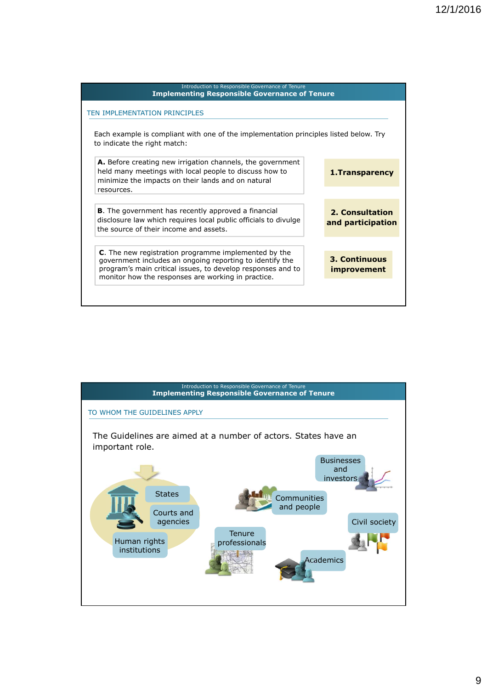| Introduction to Responsible Governance of Tenure<br><b>Implementing Responsible Governance of Tenure</b>                                                                                                                              |                                            |
|---------------------------------------------------------------------------------------------------------------------------------------------------------------------------------------------------------------------------------------|--------------------------------------------|
| TEN IMPLEMENTATION PRINCIPLES                                                                                                                                                                                                         |                                            |
| Each example is compliant with one of the implementation principles listed below. Try<br>to indicate the right match:                                                                                                                 |                                            |
| A. Before creating new irrigation channels, the government<br>held many meetings with local people to discuss how to<br>minimize the impacts on their lands and on natural<br>resources.                                              | 1. Transparency                            |
| <b>B.</b> The government has recently approved a financial<br>disclosure law which requires local public officials to divulge<br>the source of their income and assets.                                                               | 2. Consultation<br>and participation       |
| C. The new registration programme implemented by the<br>government includes an ongoing reporting to identify the<br>program's main critical issues, to develop responses and to<br>monitor how the responses are working in practice. | <b>3. Continuous</b><br><i>improvement</i> |

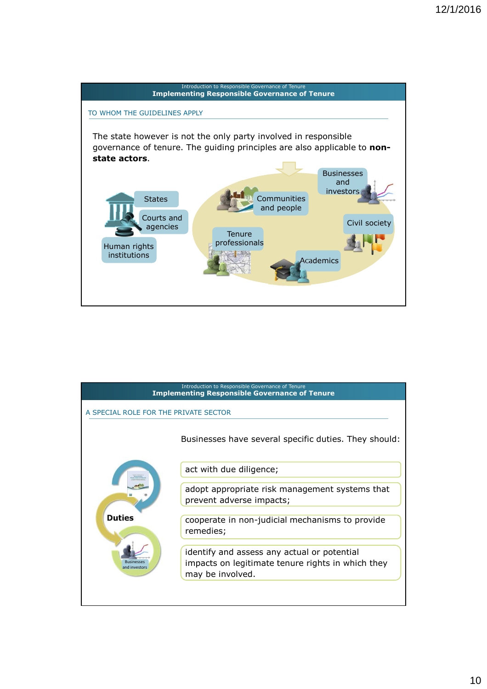

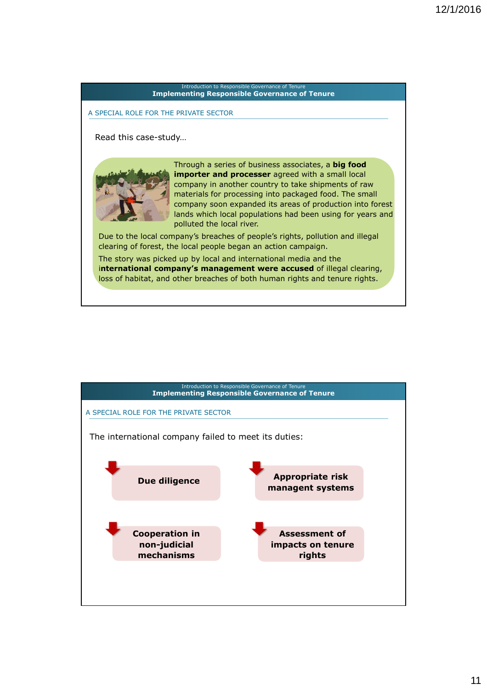# **3. Principles of responsible governance of tenure** Introduction to Responsible Governance of Tenure **Implementing Responsible Governance of Tenure** A SPECIAL ROLE FOR THE PRIVATE SECTOR Read this case-study… Through a series of business associates, a **big food importer and processer** agreed with a small local company in another country to take shipments of raw materials for processing into packaged food. The small company soon expanded its areas of production into forest lands which local populations had been using for years and polluted the local river. Due to the local company's breaches of people's rights, pollution and illegal clearing of forest, the local people began an action campaign. The story was picked up by local and international media and the i**nternational company's management were accused** of illegal clearing, loss of habitat, and other breaches of both human rights and tenure rights.

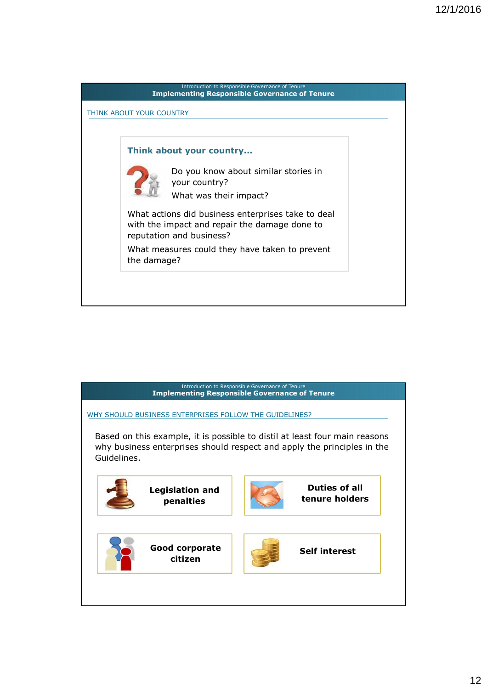

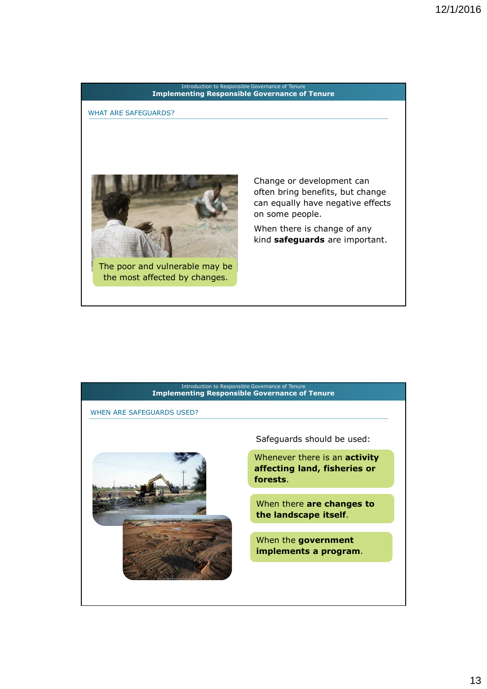

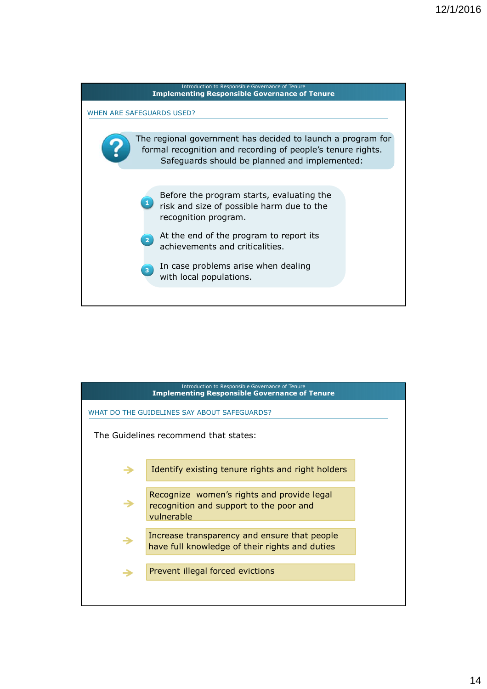

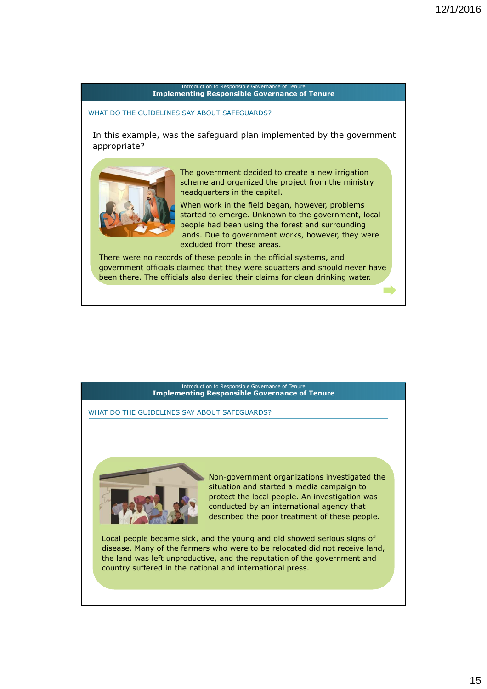#### **3. Principles of responsible governance of tenure Implementing Responsible Governance of Tenure** Introduction to Responsible Governance of Tenure

### WHAT DO THE GUIDELINES SAY ABOUT SAFEGUARDS?

In this example, was the safeguard plan implemented by the government appropriate?



The government decided to create a new irrigation scheme and organized the project from the ministry headquarters in the capital.

When work in the field began, however, problems started to emerge. Unknown to the government, local people had been using the forest and surrounding lands. Due to government works, however, they were excluded from these areas.

There were no records of these people in the official systems, and government officials claimed that they were squatters and should never have been there. The officials also denied their claims for clean drinking water.

#### **3. Principles of responsible governance of tenure Implementing Responsible Governance of Tenure** Introduction to Responsible Governance of Tenure

WHAT DO THE GUIDELINES SAY ABOUT SAFEGUARDS?



Non-government organizations investigated the situation and started a media campaign to protect the local people. An investigation was conducted by an international agency that described the poor treatment of these people.

Local people became sick, and the young and old showed serious signs of disease. Many of the farmers who were to be relocated did not receive land, the land was left unproductive, and the reputation of the government and country suffered in the national and international press.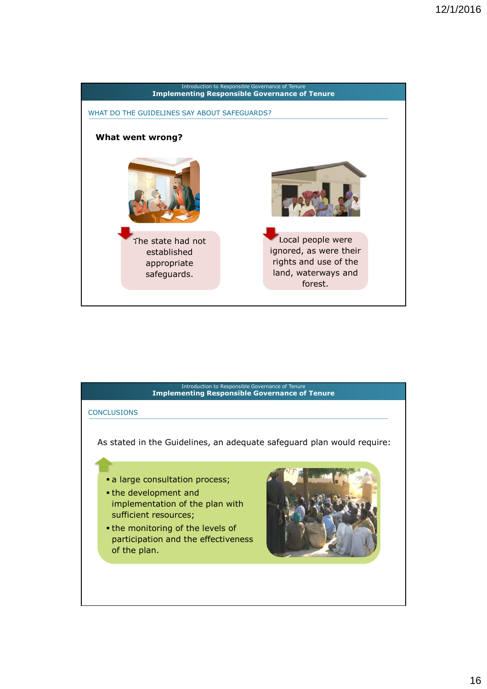